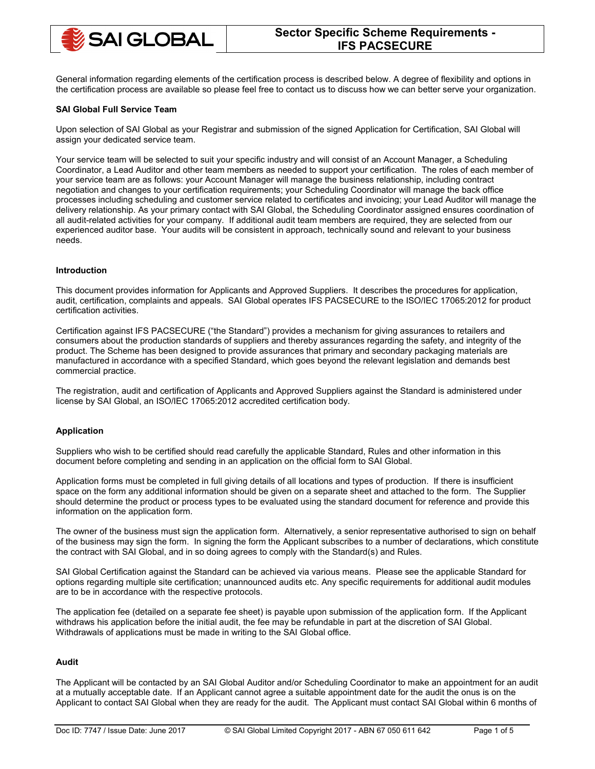

General information regarding elements of the certification process is described below. A degree of flexibility and options in the certification process are available so please feel free to contact us to discuss how we can better serve your organization.

## **SAI Global Full Service Team**

Upon selection of SAI Global as your Registrar and submission of the signed Application for Certification, SAI Global will assign your dedicated service team.

Your service team will be selected to suit your specific industry and will consist of an Account Manager, a Scheduling Coordinator, a Lead Auditor and other team members as needed to support your certification. The roles of each member of your service team are as follows: your Account Manager will manage the business relationship, including contract negotiation and changes to your certification requirements; your Scheduling Coordinator will manage the back office processes including scheduling and customer service related to certificates and invoicing; your Lead Auditor will manage the delivery relationship. As your primary contact with SAI Global, the Scheduling Coordinator assigned ensures coordination of all audit-related activities for your company. If additional audit team members are required, they are selected from our experienced auditor base. Your audits will be consistent in approach, technically sound and relevant to your business needs.

#### **Introduction**

This document provides information for Applicants and Approved Suppliers. It describes the procedures for application, audit, certification, complaints and appeals. SAI Global operates IFS PACSECURE to the ISO/IEC 17065:2012 for product certification activities.

Certification against IFS PACSECURE ("the Standard") provides a mechanism for giving assurances to retailers and consumers about the production standards of suppliers and thereby assurances regarding the safety, and integrity of the product. The Scheme has been designed to provide assurances that primary and secondary packaging materials are manufactured in accordance with a specified Standard, which goes beyond the relevant legislation and demands best commercial practice.

The registration, audit and certification of Applicants and Approved Suppliers against the Standard is administered under license by SAI Global, an ISO/IEC 17065:2012 accredited certification body.

## **Application**

Suppliers who wish to be certified should read carefully the applicable Standard, Rules and other information in this document before completing and sending in an application on the official form to SAI Global.

Application forms must be completed in full giving details of all locations and types of production. If there is insufficient space on the form any additional information should be given on a separate sheet and attached to the form. The Supplier should determine the product or process types to be evaluated using the standard document for reference and provide this information on the application form.

The owner of the business must sign the application form. Alternatively, a senior representative authorised to sign on behalf of the business may sign the form. In signing the form the Applicant subscribes to a number of declarations, which constitute the contract with SAI Global, and in so doing agrees to comply with the Standard(s) and Rules.

SAI Global Certification against the Standard can be achieved via various means. Please see the applicable Standard for options regarding multiple site certification; unannounced audits etc. Any specific requirements for additional audit modules are to be in accordance with the respective protocols.

The application fee (detailed on a separate fee sheet) is payable upon submission of the application form. If the Applicant withdraws his application before the initial audit, the fee may be refundable in part at the discretion of SAI Global. Withdrawals of applications must be made in writing to the SAI Global office.

# **Audit**

The Applicant will be contacted by an SAI Global Auditor and/or Scheduling Coordinator to make an appointment for an audit at a mutually acceptable date. If an Applicant cannot agree a suitable appointment date for the audit the onus is on the Applicant to contact SAI Global when they are ready for the audit. The Applicant must contact SAI Global within 6 months of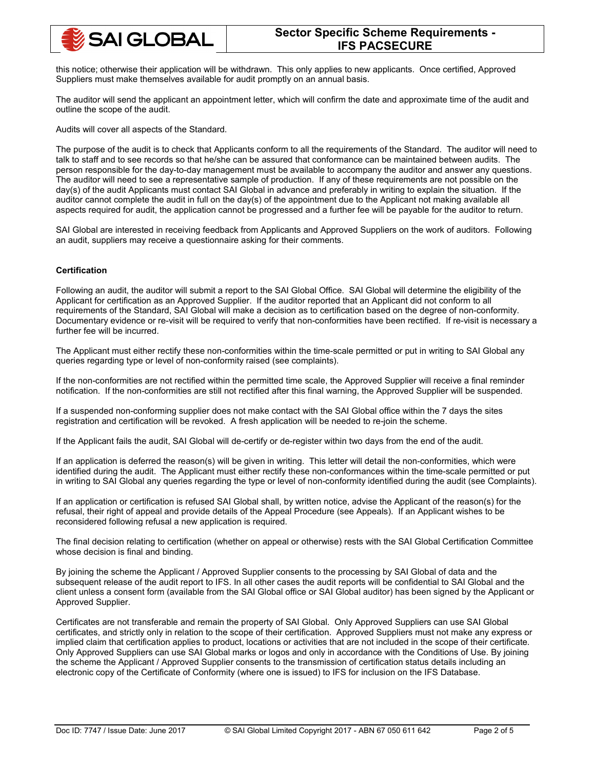

this notice; otherwise their application will be withdrawn. This only applies to new applicants. Once certified, Approved Suppliers must make themselves available for audit promptly on an annual basis.

The auditor will send the applicant an appointment letter, which will confirm the date and approximate time of the audit and outline the scope of the audit.

Audits will cover all aspects of the Standard.

The purpose of the audit is to check that Applicants conform to all the requirements of the Standard. The auditor will need to talk to staff and to see records so that he/she can be assured that conformance can be maintained between audits. The person responsible for the day-to-day management must be available to accompany the auditor and answer any questions. The auditor will need to see a representative sample of production. If any of these requirements are not possible on the day(s) of the audit Applicants must contact SAI Global in advance and preferably in writing to explain the situation. If the auditor cannot complete the audit in full on the day(s) of the appointment due to the Applicant not making available all aspects required for audit, the application cannot be progressed and a further fee will be payable for the auditor to return.

SAI Global are interested in receiving feedback from Applicants and Approved Suppliers on the work of auditors. Following an audit, suppliers may receive a questionnaire asking for their comments.

## **Certification**

Following an audit, the auditor will submit a report to the SAI Global Office. SAI Global will determine the eligibility of the Applicant for certification as an Approved Supplier. If the auditor reported that an Applicant did not conform to all requirements of the Standard, SAI Global will make a decision as to certification based on the degree of non-conformity. Documentary evidence or re-visit will be required to verify that non-conformities have been rectified. If re-visit is necessary a further fee will be incurred.

The Applicant must either rectify these non-conformities within the time-scale permitted or put in writing to SAI Global any queries regarding type or level of non-conformity raised (see complaints).

If the non-conformities are not rectified within the permitted time scale, the Approved Supplier will receive a final reminder notification. If the non-conformities are still not rectified after this final warning, the Approved Supplier will be suspended.

If a suspended non-conforming supplier does not make contact with the SAI Global office within the 7 days the sites registration and certification will be revoked. A fresh application will be needed to re-join the scheme.

If the Applicant fails the audit, SAI Global will de-certify or de-register within two days from the end of the audit.

If an application is deferred the reason(s) will be given in writing. This letter will detail the non-conformities, which were identified during the audit. The Applicant must either rectify these non-conformances within the time-scale permitted or put in writing to SAI Global any queries regarding the type or level of non-conformity identified during the audit (see Complaints).

If an application or certification is refused SAI Global shall, by written notice, advise the Applicant of the reason(s) for the refusal, their right of appeal and provide details of the Appeal Procedure (see Appeals). If an Applicant wishes to be reconsidered following refusal a new application is required.

The final decision relating to certification (whether on appeal or otherwise) rests with the SAI Global Certification Committee whose decision is final and binding.

By joining the scheme the Applicant / Approved Supplier consents to the processing by SAI Global of data and the subsequent release of the audit report to IFS. In all other cases the audit reports will be confidential to SAI Global and the client unless a consent form (available from the SAI Global office or SAI Global auditor) has been signed by the Applicant or Approved Supplier.

Certificates are not transferable and remain the property of SAI Global. Only Approved Suppliers can use SAI Global certificates, and strictly only in relation to the scope of their certification. Approved Suppliers must not make any express or implied claim that certification applies to product, locations or activities that are not included in the scope of their certificate. Only Approved Suppliers can use SAI Global marks or logos and only in accordance with the Conditions of Use. By joining the scheme the Applicant / Approved Supplier consents to the transmission of certification status details including an electronic copy of the Certificate of Conformity (where one is issued) to IFS for inclusion on the IFS Database.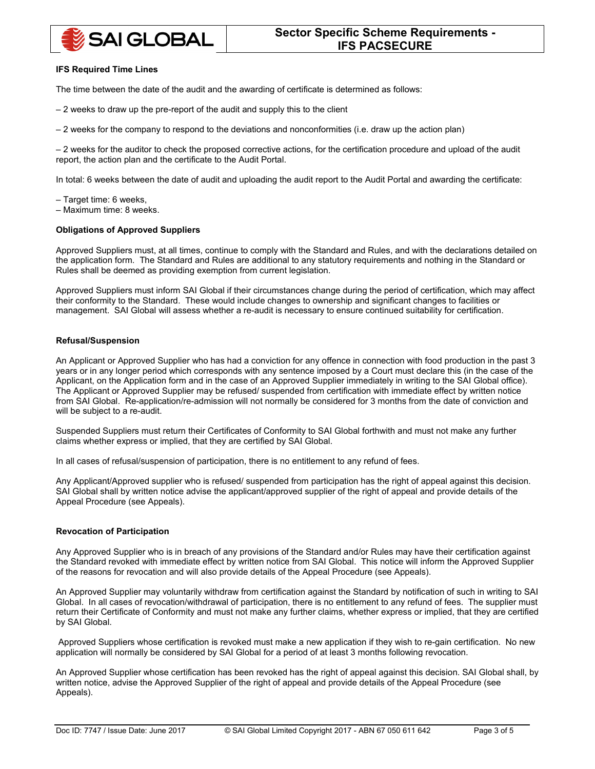# **SAI GLOBAL**

### **IFS Required Time Lines**

The time between the date of the audit and the awarding of certificate is determined as follows:

- 2 weeks to draw up the pre-report of the audit and supply this to the client
- 2 weeks for the company to respond to the deviations and nonconformities (i.e. draw up the action plan)

– 2 weeks for the auditor to check the proposed corrective actions, for the certification procedure and upload of the audit report, the action plan and the certificate to the Audit Portal.

In total: 6 weeks between the date of audit and uploading the audit report to the Audit Portal and awarding the certificate:

– Target time: 6 weeks,

– Maximum time: 8 weeks.

#### **Obligations of Approved Suppliers**

Approved Suppliers must, at all times, continue to comply with the Standard and Rules, and with the declarations detailed on the application form. The Standard and Rules are additional to any statutory requirements and nothing in the Standard or Rules shall be deemed as providing exemption from current legislation.

Approved Suppliers must inform SAI Global if their circumstances change during the period of certification, which may affect their conformity to the Standard. These would include changes to ownership and significant changes to facilities or management. SAI Global will assess whether a re-audit is necessary to ensure continued suitability for certification.

#### **Refusal/Suspension**

An Applicant or Approved Supplier who has had a conviction for any offence in connection with food production in the past 3 years or in any longer period which corresponds with any sentence imposed by a Court must declare this (in the case of the Applicant, on the Application form and in the case of an Approved Supplier immediately in writing to the SAI Global office). The Applicant or Approved Supplier may be refused/ suspended from certification with immediate effect by written notice from SAI Global. Re-application/re-admission will not normally be considered for 3 months from the date of conviction and will be subject to a re-audit.

Suspended Suppliers must return their Certificates of Conformity to SAI Global forthwith and must not make any further claims whether express or implied, that they are certified by SAI Global.

In all cases of refusal/suspension of participation, there is no entitlement to any refund of fees.

Any Applicant/Approved supplier who is refused/ suspended from participation has the right of appeal against this decision. SAI Global shall by written notice advise the applicant/approved supplier of the right of appeal and provide details of the Appeal Procedure (see Appeals).

## **Revocation of Participation**

Any Approved Supplier who is in breach of any provisions of the Standard and/or Rules may have their certification against the Standard revoked with immediate effect by written notice from SAI Global. This notice will inform the Approved Supplier of the reasons for revocation and will also provide details of the Appeal Procedure (see Appeals).

An Approved Supplier may voluntarily withdraw from certification against the Standard by notification of such in writing to SAI Global. In all cases of revocation/withdrawal of participation, there is no entitlement to any refund of fees. The supplier must return their Certificate of Conformity and must not make any further claims, whether express or implied, that they are certified by SAI Global.

Approved Suppliers whose certification is revoked must make a new application if they wish to re-gain certification. No new application will normally be considered by SAI Global for a period of at least 3 months following revocation.

An Approved Supplier whose certification has been revoked has the right of appeal against this decision. SAI Global shall, by written notice, advise the Approved Supplier of the right of appeal and provide details of the Appeal Procedure (see Appeals).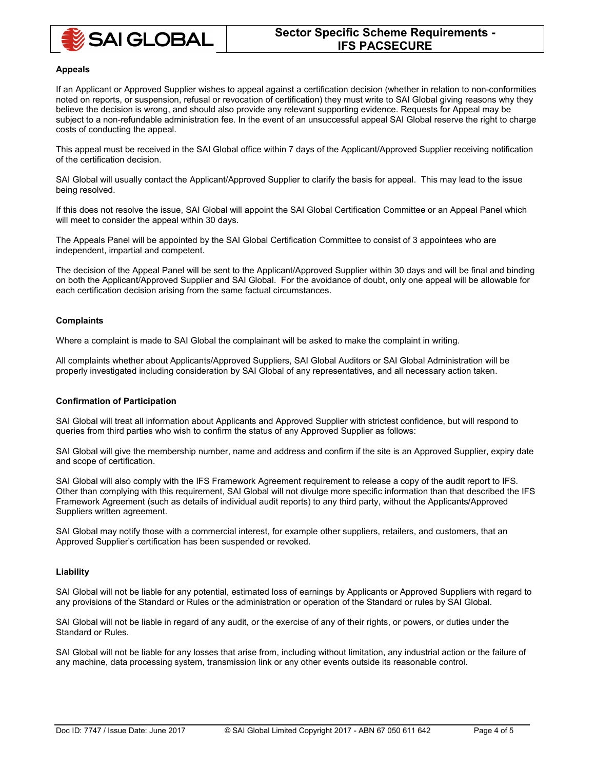

#### **Appeals**

If an Applicant or Approved Supplier wishes to appeal against a certification decision (whether in relation to non-conformities noted on reports, or suspension, refusal or revocation of certification) they must write to SAI Global giving reasons why they believe the decision is wrong, and should also provide any relevant supporting evidence. Requests for Appeal may be subject to a non-refundable administration fee. In the event of an unsuccessful appeal SAI Global reserve the right to charge costs of conducting the appeal.

This appeal must be received in the SAI Global office within 7 days of the Applicant/Approved Supplier receiving notification of the certification decision.

SAI Global will usually contact the Applicant/Approved Supplier to clarify the basis for appeal. This may lead to the issue being resolved.

If this does not resolve the issue, SAI Global will appoint the SAI Global Certification Committee or an Appeal Panel which will meet to consider the appeal within 30 days.

The Appeals Panel will be appointed by the SAI Global Certification Committee to consist of 3 appointees who are independent, impartial and competent.

The decision of the Appeal Panel will be sent to the Applicant/Approved Supplier within 30 days and will be final and binding on both the Applicant/Approved Supplier and SAI Global. For the avoidance of doubt, only one appeal will be allowable for each certification decision arising from the same factual circumstances.

#### **Complaints**

Where a complaint is made to SAI Global the complainant will be asked to make the complaint in writing.

All complaints whether about Applicants/Approved Suppliers, SAI Global Auditors or SAI Global Administration will be properly investigated including consideration by SAI Global of any representatives, and all necessary action taken.

#### **Confirmation of Participation**

SAI Global will treat all information about Applicants and Approved Supplier with strictest confidence, but will respond to queries from third parties who wish to confirm the status of any Approved Supplier as follows:

SAI Global will give the membership number, name and address and confirm if the site is an Approved Supplier, expiry date and scope of certification.

SAI Global will also comply with the IFS Framework Agreement requirement to release a copy of the audit report to IFS. Other than complying with this requirement, SAI Global will not divulge more specific information than that described the IFS Framework Agreement (such as details of individual audit reports) to any third party, without the Applicants/Approved Suppliers written agreement.

SAI Global may notify those with a commercial interest, for example other suppliers, retailers, and customers, that an Approved Supplier's certification has been suspended or revoked.

## **Liability**

SAI Global will not be liable for any potential, estimated loss of earnings by Applicants or Approved Suppliers with regard to any provisions of the Standard or Rules or the administration or operation of the Standard or rules by SAI Global.

SAI Global will not be liable in regard of any audit, or the exercise of any of their rights, or powers, or duties under the Standard or Rules.

SAI Global will not be liable for any losses that arise from, including without limitation, any industrial action or the failure of any machine, data processing system, transmission link or any other events outside its reasonable control.